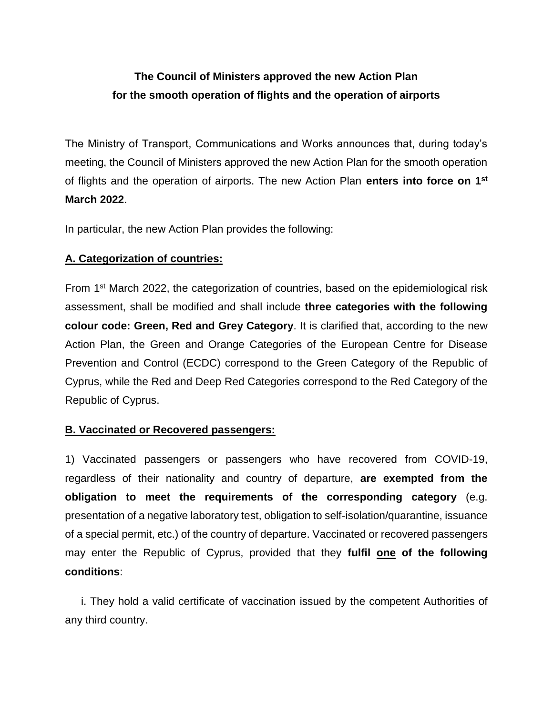## **The Council of Ministers approved the new Action Plan for the smooth operation of flights and the operation of airports**

The Ministry of Transport, Communications and Works announces that, during today's meeting, the Council of Ministers approved the new Action Plan for the smooth operation of flights and the operation of airports. The new Action Plan **enters into force on 1st March 2022**.

In particular, the new Action Plan provides the following:

## **A. Categorization of countries:**

From 1st March 2022, the categorization of countries, based on the epidemiological risk assessment, shall be modified and shall include **three categories with the following colour code: Green, Red and Grey Category**. It is clarified that, according to the new Action Plan, the Green and Orange Categories of the European Centre for Disease Prevention and Control (ECDC) correspond to the Green Category of the Republic of Cyprus, while the Red and Deep Red Categories correspond to the Red Category of the Republic of Cyprus.

## **B. Vaccinated or Recovered passengers:**

1) Vaccinated passengers or passengers who have recovered from COVID-19, regardless of their nationality and country of departure, **are exempted from the obligation to meet the requirements of the corresponding category** (e.g. presentation of a negative laboratory test, obligation to self-isolation/quarantine, issuance of a special permit, etc.) of the country of departure. Vaccinated or recovered passengers may enter the Republic of Cyprus, provided that they **fulfil one of the following conditions**:

 i. They hold a valid certificate of vaccination issued by the competent Authorities of any third country.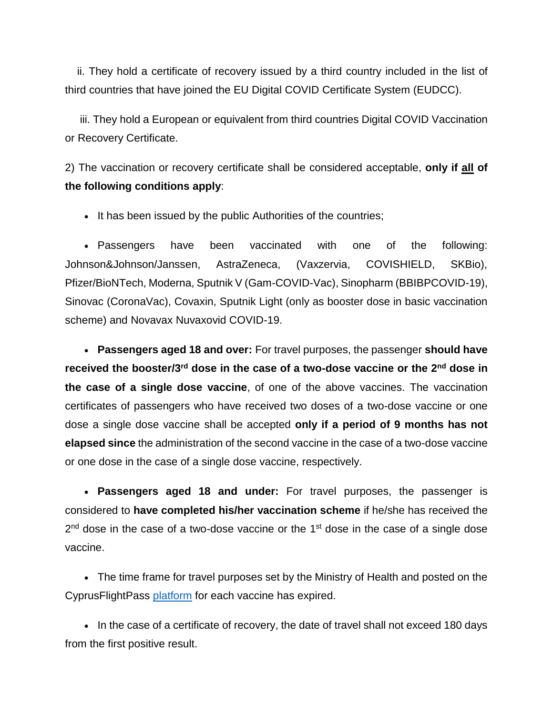ii. They hold a certificate of recovery issued by a third country included in the list of third countries that have joined the EU Digital COVID Certificate System (EUDCC).

 iii. They hold a European or equivalent from third countries Digital COVID Vaccination or Recovery Certificate.

2) The vaccination or recovery certificate shall be considered acceptable, **only if all of the following conditions apply**:

• It has been issued by the public Authorities of the countries;

 Passengers have been vaccinated with one of the following: Johnson&Johnson/Janssen, AstraZeneca, (Vaxzervia, COVISHIELD, SKBio), Pfizer/BioNTech, Moderna, Sputnik V (Gam-COVID-Vac), Sinopharm (BBIBPCOVID-19), Sinovac (CoronaVac), Covaxin, Sputnik Light (only as booster dose in basic vaccination scheme) and Novavax Nuvaxovid COVID-19.

 **Passengers aged 18 and over:** For travel purposes, the passenger **should have received the booster/3rd dose in the case of a two-dose vaccine or the 2nd dose in the case of a single dose vaccine**, of one of the above vaccines. The vaccination certificates of passengers who have received two doses of a two-dose vaccine or one dose a single dose vaccine shall be accepted **only if a period of 9 months has not elapsed since** the administration of the second vaccine in the case of a two-dose vaccine or one dose in the case of a single dose vaccine, respectively.

 **Passengers aged 18 and under:** For travel purposes, the passenger is considered to **have completed his/her vaccination scheme** if he/she has received the  $2<sup>nd</sup>$  dose in the case of a two-dose vaccine or the 1<sup>st</sup> dose in the case of a single dose vaccine.

 The time frame for travel purposes set by the Ministry of Health and posted on the CyprusFlightPass [platform](https://cyprusflightpass.gov.cy/) for each vaccine has expired.

• In the case of a certificate of recovery, the date of travel shall not exceed 180 days from the first positive result.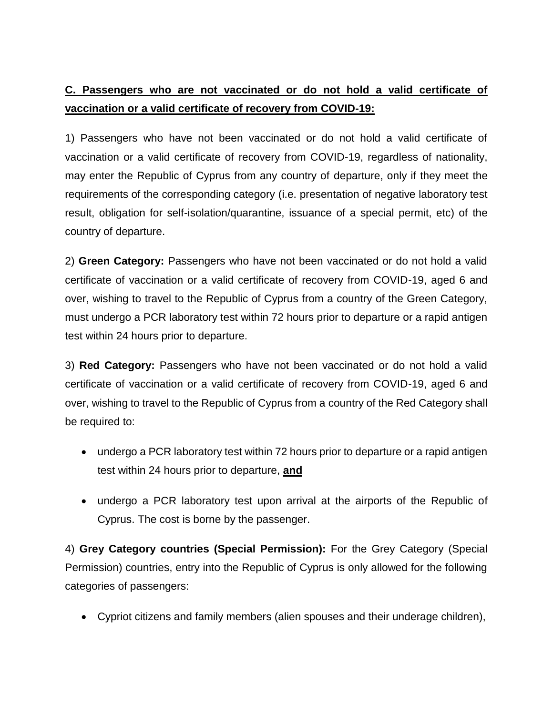## **C. Passengers who are not vaccinated or do not hold a valid certificate of vaccination or a valid certificate of recovery from COVID-19:**

1) Passengers who have not been vaccinated or do not hold a valid certificate of vaccination or a valid certificate of recovery from COVID-19, regardless of nationality, may enter the Republic of Cyprus from any country of departure, only if they meet the requirements of the corresponding category (i.e. presentation of negative laboratory test result, obligation for self-isolation/quarantine, issuance of a special permit, etc) of the country of departure.

2) **Green Category:** Passengers who have not been vaccinated or do not hold a valid certificate of vaccination or a valid certificate of recovery from COVID-19, aged 6 and over, wishing to travel to the Republic of Cyprus from a country of the Green Category, must undergo a PCR laboratory test within 72 hours prior to departure or a rapid antigen test within 24 hours prior to departure.

3) **Red Category:** Passengers who have not been vaccinated or do not hold a valid certificate of vaccination or a valid certificate of recovery from COVID-19, aged 6 and over, wishing to travel to the Republic of Cyprus from a country of the Red Category shall be required to:

- undergo a PCR laboratory test within 72 hours prior to departure or a rapid antigen test within 24 hours prior to departure, **and**
- undergo a PCR laboratory test upon arrival at the airports of the Republic of Cyprus. The cost is borne by the passenger.

4) **Grey Category countries (Special Permission):** For the Grey Category (Special Permission) countries, entry into the Republic of Cyprus is only allowed for the following categories of passengers:

Cypriot citizens and family members (alien spouses and their underage children),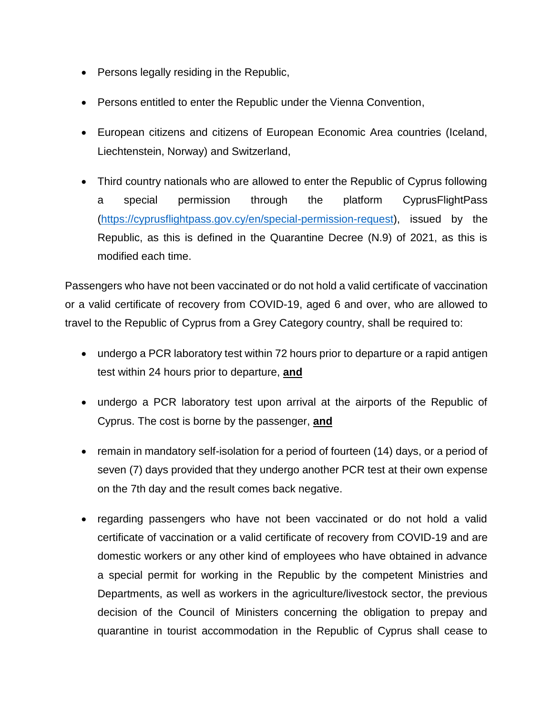- Persons legally residing in the Republic,
- Persons entitled to enter the Republic under the Vienna Convention,
- European citizens and citizens of European Economic Area countries (Iceland, Liechtenstein, Norway) and Switzerland,
- Third country nationals who are allowed to enter the Republic of Cyprus following a special permission through the platform CyprusFlightPass [\(https://cyprusflightpass.gov.cy/en/special-permission-request\)](https://cyprusflightpass.gov.cy/en/special-permission-request), issued by the Republic, as this is defined in the Quarantine Decree (N.9) of 2021, as this is modified each time.

Passengers who have not been vaccinated or do not hold a valid certificate of vaccination or a valid certificate of recovery from COVID-19, aged 6 and over, who are allowed to travel to the Republic of Cyprus from a Grey Category country, shall be required to:

- undergo a PCR laboratory test within 72 hours prior to departure or a rapid antigen test within 24 hours prior to departure, **and**
- undergo a PCR laboratory test upon arrival at the airports of the Republic of Cyprus. The cost is borne by the passenger, **and**
- remain in mandatory self-isolation for a period of fourteen (14) days, or a period of seven (7) days provided that they undergo another PCR test at their own expense on the 7th day and the result comes back negative.
- regarding passengers who have not been vaccinated or do not hold a valid certificate of vaccination or a valid certificate of recovery from COVID-19 and are domestic workers or any other kind of employees who have obtained in advance a special permit for working in the Republic by the competent Ministries and Departments, as well as workers in the agriculture/livestock sector, the previous decision of the Council of Ministers concerning the obligation to prepay and quarantine in tourist accommodation in the Republic of Cyprus shall cease to